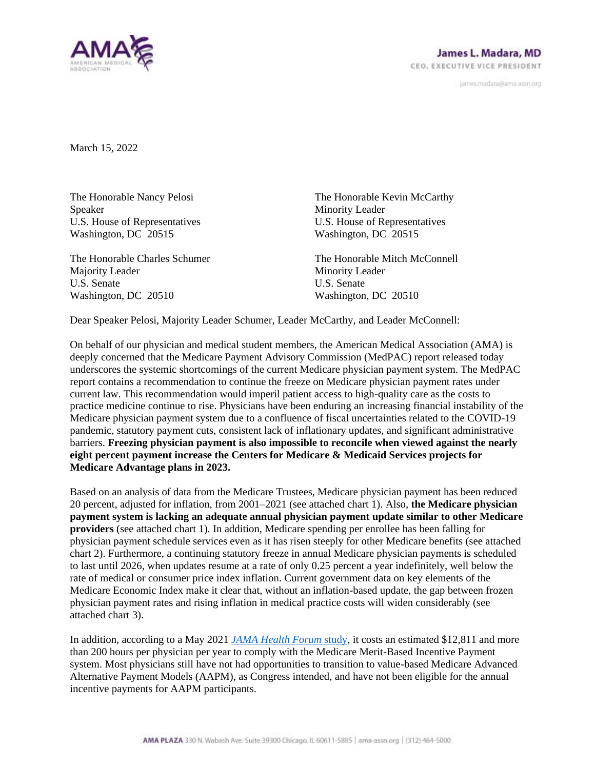

janves.madara@ama-assn.org

March 15, 2022

The Honorable Nancy Pelosi Speaker U.S. House of Representatives Washington, DC 20515

The Honorable Charles Schumer Majority Leader U.S. Senate Washington, DC 20510

The Honorable Kevin McCarthy Minority Leader U.S. House of Representatives Washington, DC 20515

The Honorable Mitch McConnell Minority Leader U.S. Senate Washington, DC 20510

Dear Speaker Pelosi, Majority Leader Schumer, Leader McCarthy, and Leader McConnell:

On behalf of our physician and medical student members, the American Medical Association (AMA) is deeply concerned that the Medicare Payment Advisory Commission (MedPAC) report released today underscores the systemic shortcomings of the current Medicare physician payment system. The MedPAC report contains a recommendation to continue the freeze on Medicare physician payment rates under current law. This recommendation would imperil patient access to high-quality care as the costs to practice medicine continue to rise. Physicians have been enduring an increasing financial instability of the Medicare physician payment system due to a confluence of fiscal uncertainties related to the COVID-19 pandemic, statutory payment cuts, consistent lack of inflationary updates, and significant administrative barriers. **Freezing physician payment is also impossible to reconcile when viewed against the nearly eight percent payment increase the Centers for Medicare & Medicaid Services projects for Medicare Advantage plans in 2023.**

Based on an analysis of data from the Medicare Trustees, Medicare physician payment has been reduced 20 percent, adjusted for inflation, from 2001–2021 (see attached chart 1). Also, **the Medicare physician payment system is lacking an adequate annual physician payment update similar to other Medicare providers** (see attached chart 1). In addition, Medicare spending per enrollee has been falling for physician payment schedule services even as it has risen steeply for other Medicare benefits (see attached chart 2). Furthermore, a continuing statutory freeze in annual Medicare physician payments is scheduled to last until 2026, when updates resume at a rate of only 0.25 percent a year indefinitely, well below the rate of medical or consumer price index inflation. Current government data on key elements of the Medicare Economic Index make it clear that, without an inflation-based update, the gap between frozen physician payment rates and rising inflation in medical practice costs will widen considerably (see attached chart 3).

In addition, according to a May 2021 *[JAMA Health Forum](https://jamanetwork.com/journals/jama-health-forum/fullarticle/2779947)* study*,* it costs an estimated \$12,811 and more than 200 hours per physician per year to comply with the Medicare Merit-Based Incentive Payment system. Most physicians still have not had opportunities to transition to value-based Medicare Advanced Alternative Payment Models (AAPM), as Congress intended, and have not been eligible for the annual incentive payments for AAPM participants.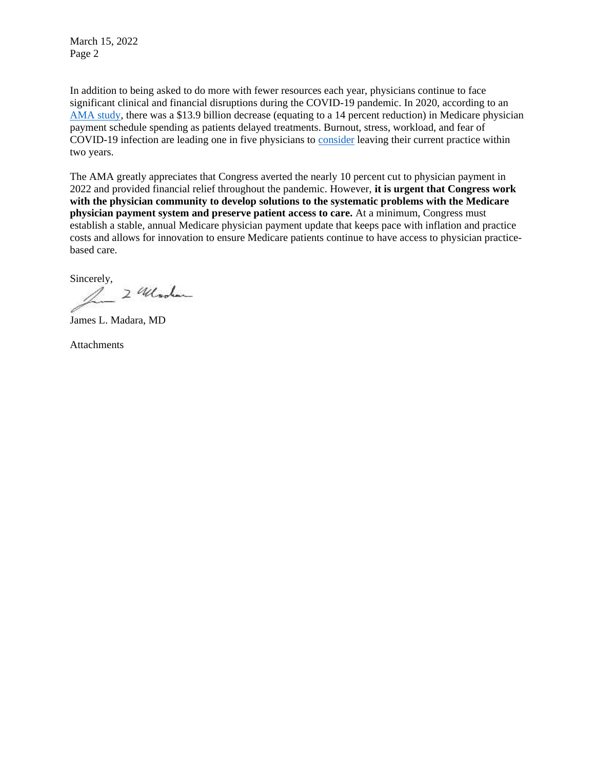March 15, 2022 Page 2

In addition to being asked to do more with fewer resources each year, physicians continue to face significant clinical and financial disruptions during the COVID-19 pandemic. In 2020, according to an [AMA study,](https://www.ama-assn.org/system/files/2020-prp-covid-impact-medicare-physician-spending.pdf) there was a \$13.9 billion decrease (equating to a 14 percent reduction) in Medicare physician payment schedule spending as patients delayed treatments. Burnout, stress, workload, and fear of COVID-19 infection are leading one in five physicians to [consider](https://www.mcpiqojournal.org/article/S2542-4548(21)00126-0/fulltext) leaving their current practice within two years.

The AMA greatly appreciates that Congress averted the nearly 10 percent cut to physician payment in 2022 and provided financial relief throughout the pandemic. However, **it is urgent that Congress work with the physician community to develop solutions to the systematic problems with the Medicare physician payment system and preserve patient access to care.** At a minimum, Congress must establish a stable, annual Medicare physician payment update that keeps pace with inflation and practice costs and allows for innovation to ensure Medicare patients continue to have access to physician practicebased care.

Sincerely,  $24$  looked

James L. Madara, MD

Attachments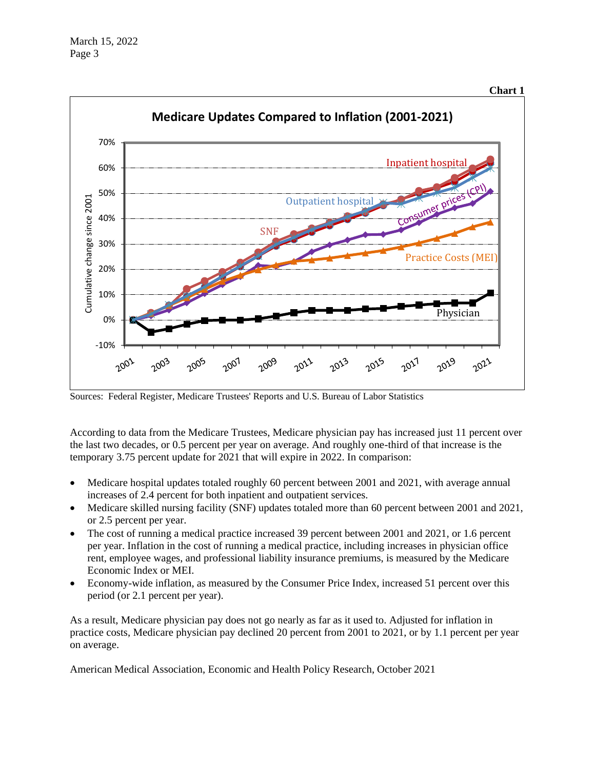



Sources: Federal Register, Medicare Trustees' Reports and U.S. Bureau of Labor Statistics

According to data from the Medicare Trustees, Medicare physician pay has increased just 11 percent over the last two decades, or 0.5 percent per year on average. And roughly one-third of that increase is the temporary 3.75 percent update for 2021 that will expire in 2022. In comparison:

- Medicare hospital updates totaled roughly 60 percent between 2001 and 2021, with average annual increases of 2.4 percent for both inpatient and outpatient services.
- Medicare skilled nursing facility (SNF) updates totaled more than 60 percent between 2001 and 2021, or 2.5 percent per year.
- The cost of running a medical practice increased 39 percent between 2001 and 2021, or 1.6 percent per year. Inflation in the cost of running a medical practice, including increases in physician office rent, employee wages, and professional liability insurance premiums, is measured by the Medicare Economic Index or MEI.
- Economy-wide inflation, as measured by the Consumer Price Index, increased 51 percent over this period (or 2.1 percent per year).

As a result, Medicare physician pay does not go nearly as far as it used to. Adjusted for inflation in practice costs, Medicare physician pay declined 20 percent from 2001 to 2021, or by 1.1 percent per year on average.

American Medical Association, Economic and Health Policy Research, October 2021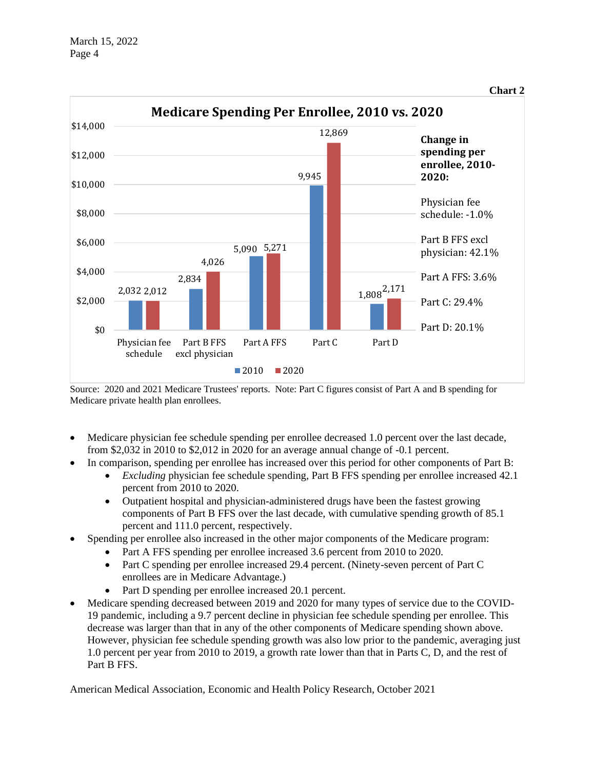

Source: 2020 and 2021 Medicare Trustees' reports. Note: Part C figures consist of Part A and B spending for Medicare private health plan enrollees.

- Medicare physician fee schedule spending per enrollee decreased 1.0 percent over the last decade, from \$2,032 in 2010 to \$2,012 in 2020 for an average annual change of -0.1 percent.
- In comparison, spending per enrollee has increased over this period for other components of Part B:
	- *Excluding* physician fee schedule spending, Part B FFS spending per enrollee increased 42.1 percent from 2010 to 2020.
	- Outpatient hospital and physician-administered drugs have been the fastest growing components of Part B FFS over the last decade, with cumulative spending growth of 85.1 percent and 111.0 percent, respectively.
- Spending per enrollee also increased in the other major components of the Medicare program:
	- Part A FFS spending per enrollee increased 3.6 percent from 2010 to 2020.
	- Part C spending per enrollee increased 29.4 percent. (Ninety-seven percent of Part C enrollees are in Medicare Advantage.)
	- Part D spending per enrollee increased 20.1 percent.
- Medicare spending decreased between 2019 and 2020 for many types of service due to the COVID-19 pandemic, including a 9.7 percent decline in physician fee schedule spending per enrollee. This decrease was larger than that in any of the other components of Medicare spending shown above. However, physician fee schedule spending growth was also low prior to the pandemic, averaging just 1.0 percent per year from 2010 to 2019, a growth rate lower than that in Parts C, D, and the rest of Part B FFS.

American Medical Association, Economic and Health Policy Research, October 2021

**Chart 2**